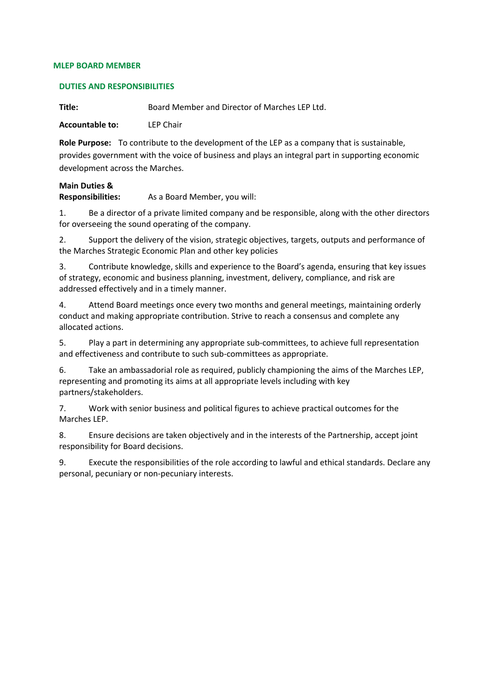#### **MLEP BOARD MEMBER**

### **DUTIES AND RESPONSIBILITIES**

**Title:** Board Member and Director of Marches LEP Ltd.

**Accountable to:** LEP Chair

**Role Purpose:** To contribute to the development of the LEP as a company that is sustainable, provides government with the voice of business and plays an integral part in supporting economic development across the Marches.

# **Main Duties &**

**Responsibilities:** As a Board Member, you will:

1. Be a director of a private limited company and be responsible, along with the other directors for overseeing the sound operating of the company.

2. Support the delivery of the vision, strategic objectives, targets, outputs and performance of the Marches Strategic Economic Plan and other key policies

3. Contribute knowledge, skills and experience to the Board's agenda, ensuring that key issues of strategy, economic and business planning, investment, delivery, compliance, and risk are addressed effectively and in a timely manner.

4. Attend Board meetings once every two months and general meetings, maintaining orderly conduct and making appropriate contribution. Strive to reach a consensus and complete any allocated actions.

5. Play a part in determining any appropriate sub-committees, to achieve full representation and effectiveness and contribute to such sub-committees as appropriate.

6. Take an ambassadorial role as required, publicly championing the aims of the Marches LEP, representing and promoting its aims at all appropriate levels including with key partners/stakeholders.

7. Work with senior business and political figures to achieve practical outcomes for the Marches LEP.

8. Ensure decisions are taken objectively and in the interests of the Partnership, accept joint responsibility for Board decisions.

9. Execute the responsibilities of the role according to lawful and ethical standards. Declare any personal, pecuniary or non-pecuniary interests.